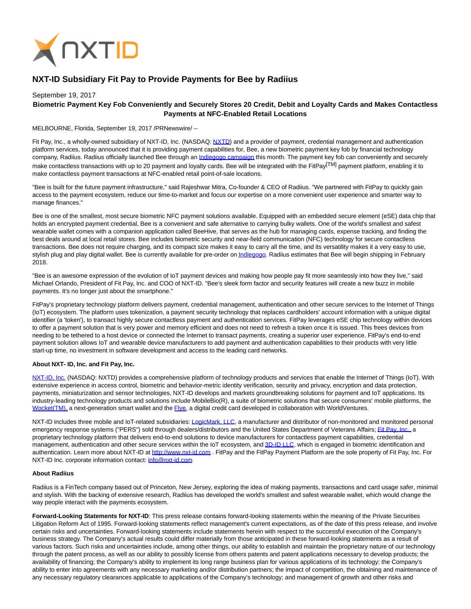

# **NXT-ID Subsidiary Fit Pay to Provide Payments for Bee by Radiius**

## September 19, 2017 **Biometric Payment Key Fob Conveniently and Securely Stores 20 Credit, Debit and Loyalty Cards and Makes Contactless Payments at NFC-Enabled Retail Locations**

MELBOURNE, Florida, September 19, 2017 /PRNewswire/ --

Fit Pay, Inc., a wholly-owned subsidiary of NXT-ID, Inc. (NASDAQ[: NXTD\)](https://finance.yahoo.com/q?s=nxtd) and a provider of payment, credential management and authentication platform services, today announced that it is providing payment capabilities for, Bee, a new biometric payment key fob by financial technology company, Radiius. Radiius officially launched Bee through an [Indiegogo campaign t](https://www.indiegogo.com/projects/bee-biometric-payment-key-fob#/)his month. The payment key fob can conveniently and securely make contactless transactions with up to 20 payment and loyalty cards. Bee will be integrated with the FitPay<sup>[TM]</sup> payment platform, enabling it to make contactless payment transactions at NFC-enabled retail point-of-sale locations.

"Bee is built for the future payment infrastructure," said Rajeshwar Mitra, Co-founder & CEO of Radiius. "We partnered with FitPay to quickly gain access to the payment ecosystem, reduce our time-to-market and focus our expertise on a more convenient user experience and smarter way to manage finances."

Bee is one of the smallest, most secure biometric NFC payment solutions available. Equipped with an embedded secure element (eSE) data chip that holds an encrypted payment credential, Bee is a convenient and safe alternative to carrying bulky wallets. One of the world's smallest and safest wearable wallet comes with a companion application called BeeHive, that serves as the hub for managing cards, expense tracking, and finding the best deals around at local retail stores. Bee includes biometric security and near-field communication (NFC) technology for secure contactless transactions. Bee does not require charging, and its compact size makes it easy to carry all the time, and its versatility makes it a very easy to use, stylish plug and play digital wallet. Bee is currently available for pre-order o[n Indiegogo.](https://www.indiegogo.com/projects/bee-biometric-payment-key-fob#/) Radiius estimates that Bee will begin shipping in February 2018.

"Bee is an awesome expression of the evolution of IoT payment devices and making how people pay fit more seamlessly into how they live," said Michael Orlando, President of Fit Pay, Inc. and COO of NXT-ID. "Bee's sleek form factor and security features will create a new buzz in mobile payments. It's no longer just about the smartphone."

FitPay's proprietary technology platform delivers payment, credential management, authentication and other secure services to the Internet of Things (IoT) ecosystem. The platform uses tokenization, a payment security technology that replaces cardholders' account information with a unique digital identifier (a 'token'), to transact highly secure contactless payment and authentication services. FitPay leverages eSE chip technology within devices to offer a payment solution that is very power and memory efficient and does not need to refresh a token once it is issued. This frees devices from needing to be tethered to a host device or connected the Internet to transact payments, creating a superior user experience. FitPay's end-to-end payment solution allows IoT and wearable device manufacturers to add payment and authentication capabilities to their products with very little start-up time, no investment in software development and access to the leading card networks.

#### **About NXT- ID, Inc. and Fit Pay, Inc.**

[NXT-ID, Inc. \(](http://www.nxt-id.com/)NASDAQ: NXTD) provides a comprehensive platform of technology products and services that enable the Internet of Things (IoT). With extensive experience in access control, biometric and behavior-metric identity verification, security and privacy, encryption and data protection, payments, miniaturization and sensor technologies, NXT-ID develops and markets groundbreaking solutions for payment and IoT applications. Its industry-leading technology products and solutions include MobileBio(R), a suite of biometric solutions that secure consumers' mobile platforms, the [Wocket\(TM\), a](https://wocketwallet.com/) next-generation smart wallet and the [Flye,](https://www.flye.com/) a digital credit card developed in collaboration with WorldVentures.

NXT-ID includes three mobile and IoT-related subsidiaries[: LogicMark, LLC,](https://www.logicmark.com/) a manufacturer and distributor of non-monitored and monitored personal emergency response systems ("PERS") sold through dealers/distributors and the United States Department of Veterans Affairs[; Fit Pay, Inc., a](http://www.fit-pay.com/) proprietary technology platform that delivers end-to-end solutions to device manufacturers for contactless payment capabilities, credential management, authentication and other secure services within the IoT ecosystem, and [3D-ID LLC,](http://nxt-id.com/products/3did/) which is engaged in biometric identification and authentication. Learn more about NXT-ID at [http://www.nxt-id.com .](http://www.nxt-id.com/) FitPay and the FitPay Payment Platform are the sole property of Fit Pay, Inc. For NXT-ID Inc. corporate information contact: [info@nxt-id.com](mailto:info@nxt-id.com)

#### **About Radiius**

Radiius is a FinTech company based out of Princeton, New Jersey, exploring the idea of making payments, transactions and card usage safer, minimal and stylish. With the backing of extensive research, Radiius has developed the world's smallest and safest wearable wallet, which would change the way people interact with the payments ecosystem.

Forward-Looking Statements for NXT-ID: This press release contains forward-looking statements within the meaning of the Private Securities Litigation Reform Act of 1995. Forward-looking statements reflect management's current expectations, as of the date of this press release, and involve certain risks and uncertainties. Forward-looking statements include statements herein with respect to the successful execution of the Company's business strategy. The Company's actual results could differ materially from those anticipated in these forward-looking statements as a result of various factors. Such risks and uncertainties include, among other things, our ability to establish and maintain the proprietary nature of our technology through the patent process, as well as our ability to possibly license from others patents and patent applications necessary to develop products; the availability of financing; the Company's ability to implement its long range business plan for various applications of its technology; the Company's ability to enter into agreements with any necessary marketing and/or distribution partners; the impact of competition, the obtaining and maintenance of any necessary regulatory clearances applicable to applications of the Company's technology; and management of growth and other risks and